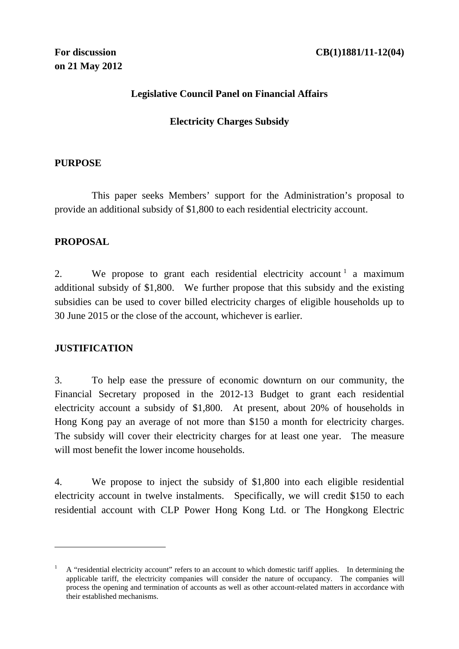## **Legislative Council Panel on Financial Affairs**

## **Electricity Charges Subsidy**

#### **PURPOSE**

 This paper seeks Members' support for the Administration's proposal to provide an additional subsidy of \$1,800 to each residential electricity account.

## **PROPOSAL**

2. We propose to grant each residential electricity account  $\alpha$  a maximum additional subsidy of \$1,800. We further propose that this subsidy and the existing subsidies can be used to cover billed electricity charges of eligible households up to 30 June 2015 or the close of the account, whichever is earlier.

## **JUSTIFICATION**

<u>.</u>

3. To help ease the pressure of economic downturn on our community, the Financial Secretary proposed in the 2012-13 Budget to grant each residential electricity account a subsidy of \$1,800. At present, about 20% of households in Hong Kong pay an average of not more than \$150 a month for electricity charges. The subsidy will cover their electricity charges for at least one year. The measure will most benefit the lower income households.

4. We propose to inject the subsidy of \$1,800 into each eligible residential electricity account in twelve instalments. Specifically, we will credit \$150 to each residential account with CLP Power Hong Kong Ltd. or The Hongkong Electric

<sup>1</sup> A "residential electricity account" refers to an account to which domestic tariff applies. In determining the applicable tariff, the electricity companies will consider the nature of occupancy. The companies will process the opening and termination of accounts as well as other account-related matters in accordance with their established mechanisms.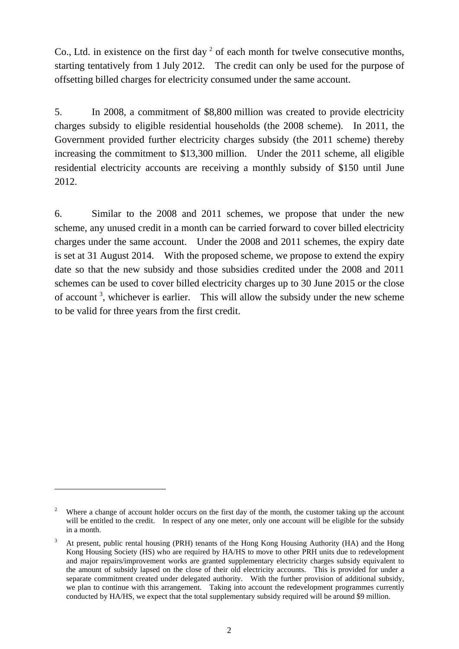Co., Ltd. in existence on the first day  $2$  of each month for twelve consecutive months, starting tentatively from 1 July 2012. The credit can only be used for the purpose of offsetting billed charges for electricity consumed under the same account.

5. In 2008, a commitment of \$8,800 million was created to provide electricity charges subsidy to eligible residential households (the 2008 scheme). In 2011, the Government provided further electricity charges subsidy (the 2011 scheme) thereby increasing the commitment to \$13,300 million. Under the 2011 scheme, all eligible residential electricity accounts are receiving a monthly subsidy of \$150 until June 2012.

6. Similar to the 2008 and 2011 schemes, we propose that under the new scheme, any unused credit in a month can be carried forward to cover billed electricity charges under the same account. Under the 2008 and 2011 schemes, the expiry date is set at 31 August 2014. With the proposed scheme, we propose to extend the expiry date so that the new subsidy and those subsidies credited under the 2008 and 2011 schemes can be used to cover billed electricity charges up to 30 June 2015 or the close of account<sup>3</sup>, whichever is earlier. This will allow the subsidy under the new scheme to be valid for three years from the first credit.

<u>.</u>

<sup>2</sup> Where a change of account holder occurs on the first day of the month, the customer taking up the account will be entitled to the credit. In respect of any one meter, only one account will be eligible for the subsidy in a month.

<sup>3</sup> At present, public rental housing (PRH) tenants of the Hong Kong Housing Authority (HA) and the Hong Kong Housing Society (HS) who are required by HA/HS to move to other PRH units due to redevelopment and major repairs/improvement works are granted supplementary electricity charges subsidy equivalent to the amount of subsidy lapsed on the close of their old electricity accounts. This is provided for under a separate commitment created under delegated authority. With the further provision of additional subsidy, we plan to continue with this arrangement. Taking into account the redevelopment programmes currently conducted by HA/HS, we expect that the total supplementary subsidy required will be around \$9 million.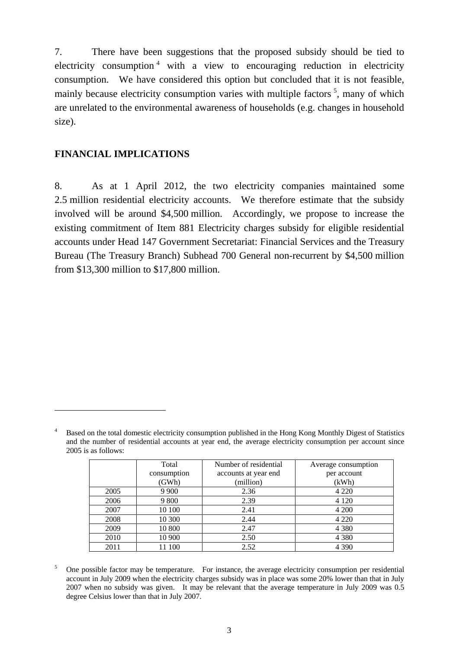7. There have been suggestions that the proposed subsidy should be tied to electricity consumption<sup>4</sup> with a view to encouraging reduction in electricity consumption. We have considered this option but concluded that it is not feasible, mainly because electricity consumption varies with multiple factors  $5$ , many of which are unrelated to the environmental awareness of households (e.g. changes in household size).

#### **FINANCIAL IMPLICATIONS**

1

8. As at 1 April 2012, the two electricity companies maintained some 2.5 million residential electricity accounts. We therefore estimate that the subsidy involved will be around \$4,500 million. Accordingly, we propose to increase the existing commitment of Item 881 Electricity charges subsidy for eligible residential accounts under Head 147 Government Secretariat: Financial Services and the Treasury Bureau (The Treasury Branch) Subhead 700 General non-recurrent by \$4,500 million from \$13,300 million to \$17,800 million.

<sup>4</sup> Based on the total domestic electricity consumption published in the Hong Kong Monthly Digest of Statistics and the number of residential accounts at year end, the average electricity consumption per account since 2005 is as follows:

|      | Total       | Number of residential | Average consumption |
|------|-------------|-----------------------|---------------------|
|      | consumption | accounts at year end. | per account         |
|      | (GWh)       | (million)             | (kWh)               |
| 2005 | 9 9 0 0     | 2.36                  | 4 2 2 0             |
| 2006 | 9 800       | 2.39                  | 4 1 2 0             |
| 2007 | 10 100      | 2.41                  | 4 200               |
| 2008 | 10 300      | 2.44                  | 4 2 2 0             |
| 2009 | 10 800      | 2.47                  | 4 3 8 0             |
| 2010 | 10 900      | 2.50                  | 4 3 8 0             |
| 2011 | 100         | 2.52                  | 4 3 9 0             |

5 One possible factor may be temperature. For instance, the average electricity consumption per residential account in July 2009 when the electricity charges subsidy was in place was some 20% lower than that in July 2007 when no subsidy was given. It may be relevant that the average temperature in July 2009 was 0.5 degree Celsius lower than that in July 2007.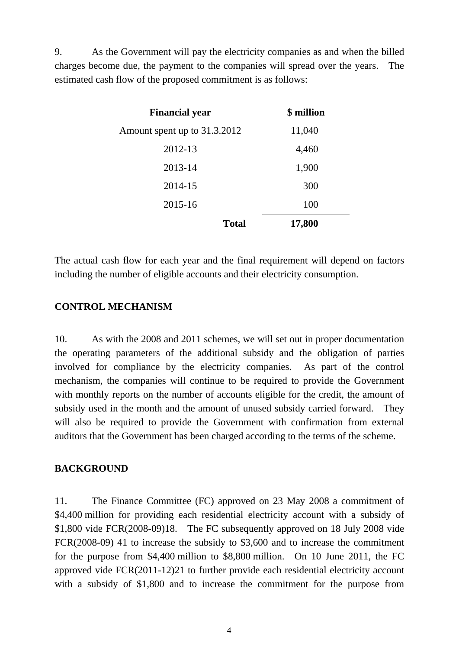9. As the Government will pay the electricity companies as and when the billed charges become due, the payment to the companies will spread over the years. The estimated cash flow of the proposed commitment is as follows:

| <b>Financial year</b>        | \$ million |
|------------------------------|------------|
| Amount spent up to 31.3.2012 | 11,040     |
| 2012-13                      | 4,460      |
| 2013-14                      | 1,900      |
| 2014-15                      | 300        |
| 2015-16                      | 100        |
| <b>Total</b>                 | 17,800     |

The actual cash flow for each year and the final requirement will depend on factors including the number of eligible accounts and their electricity consumption.

## **CONTROL MECHANISM**

10. As with the 2008 and 2011 schemes, we will set out in proper documentation the operating parameters of the additional subsidy and the obligation of parties involved for compliance by the electricity companies. As part of the control mechanism, the companies will continue to be required to provide the Government with monthly reports on the number of accounts eligible for the credit, the amount of subsidy used in the month and the amount of unused subsidy carried forward. They will also be required to provide the Government with confirmation from external auditors that the Government has been charged according to the terms of the scheme.

#### **BACKGROUND**

11. The Finance Committee (FC) approved on 23 May 2008 a commitment of \$4,400 million for providing each residential electricity account with a subsidy of \$1,800 vide FCR(2008-09)18. The FC subsequently approved on 18 July 2008 vide FCR(2008-09) 41 to increase the subsidy to \$3,600 and to increase the commitment for the purpose from \$4,400 million to \$8,800 million. On 10 June 2011, the FC approved vide FCR(2011-12)21 to further provide each residential electricity account with a subsidy of \$1,800 and to increase the commitment for the purpose from